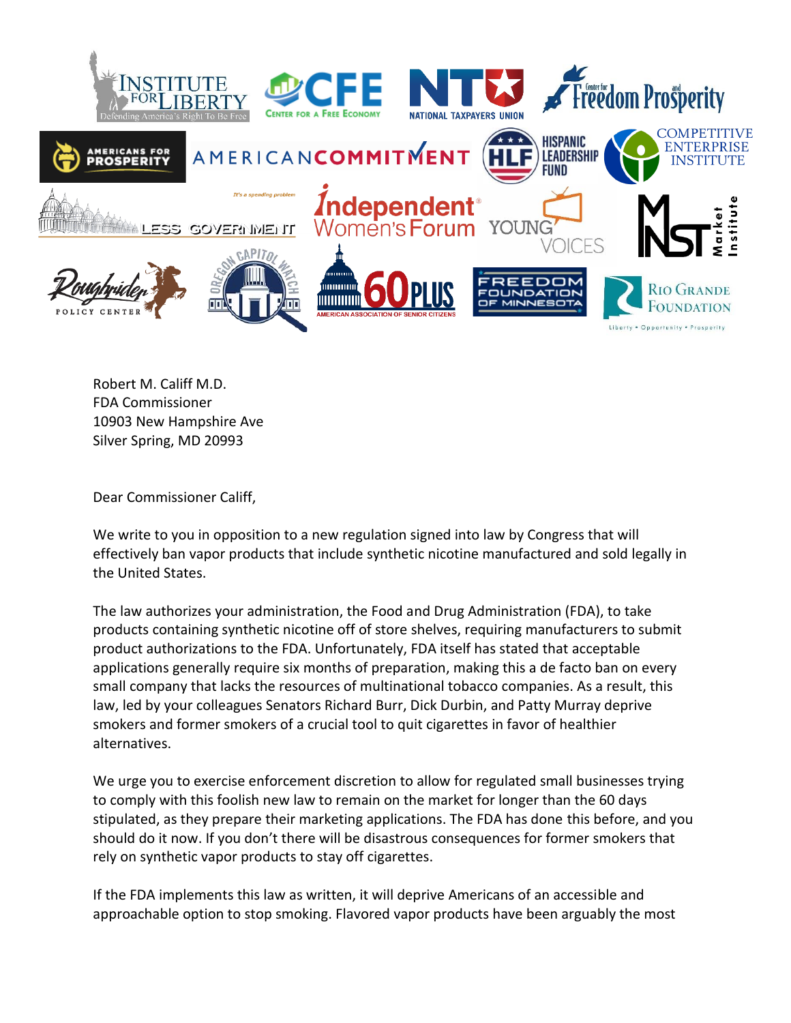

Robert M. Califf M.D. FDA Commissioner 10903 New Hampshire Ave Silver Spring, MD 20993

Dear Commissioner Califf,

We write to you in opposition to a new regulation signed into law by Congress that will effectively ban vapor products that include synthetic nicotine manufactured and sold legally in the United States.

The law authorizes your administration, the Food and Drug Administration (FDA), to take products containing synthetic nicotine off of store shelves, requiring manufacturers to submit product authorizations to the FDA. Unfortunately, FDA itself has stated that acceptable applications generally require six months of preparation, making this a de facto ban on every small company that lacks the resources of multinational tobacco companies. As a result, this law, led by your colleagues Senators Richard Burr, Dick Durbin, and Patty Murray deprive smokers and former smokers of a crucial tool to quit cigarettes in favor of healthier alternatives.

We urge you to exercise enforcement discretion to allow for regulated small businesses trying to comply with this foolish new law to remain on the market for longer than the 60 days stipulated, as they prepare their marketing applications. The FDA has done this before, and you should do it now. If you don't there will be disastrous consequences for former smokers that rely on synthetic vapor products to stay off cigarettes.

If the FDA implements this law as written, it will deprive Americans of an accessible and approachable option to stop smoking. Flavored vapor products have been arguably the most